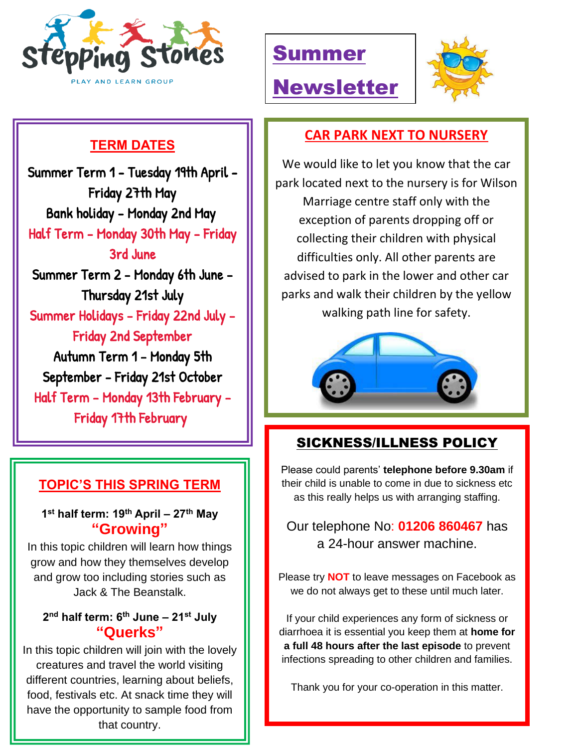

# Summer

Newsletter



## **TERM DATES**

 Summer Term 1 - Tuesday 19th April -  Summer Holidays - Friday 22nd July - Friday 27th May Bank holiday - Monday 2nd May Half Term - Monday 30th May - Friday 3rd June Summer Term 2 - Monday 6th June - Thursday 21st July Friday 2nd September Autumn Term 1 - Monday 5th September - Friday 21st October Half Term - Monday 13th February - Friday 17th February

#### **TOPIC'S THIS SPRING TERM**

L

**1 st half term: 19th April – 27th May "Growing"**

In this topic children will learn how things grow and how they themselves develop and grow too including stories such as Jack & The Beanstalk.

#### **2 nd half term: 6 th June – 21st July "Querks"**

In this topic children will join with the lovely creatures and travel the world visiting different countries, learning about beliefs, food, festivals etc. At snack time they will have the opportunity to sample food from that country.

#### **CAR PARK NEXT TO NURSERY**

We would like to let you know that the car park located next to the nursery is for Wilson Marriage centre staff only with the exception of parents dropping off or collecting their children with physical difficulties only. All other parents are advised to park in the lower and other car parks and walk their children by the yellow walking path line for safety.



## SICKNESS/ILLNESS POLICY

Please could parents' **telephone before 9.30am** if their child is unable to come in due to sickness etc as this really helps us with arranging staffing.

Our telephone No: **01206 860467** has a 24-hour answer machine.

Please try **NOT** to leave messages on Facebook as we do not always get to these until much later.

If your child experiences any form of sickness or diarrhoea it is essential you keep them at **home for a full 48 hours after the last episode** to prevent infections spreading to other children and families.

Thank you for your co-operation in this matter.